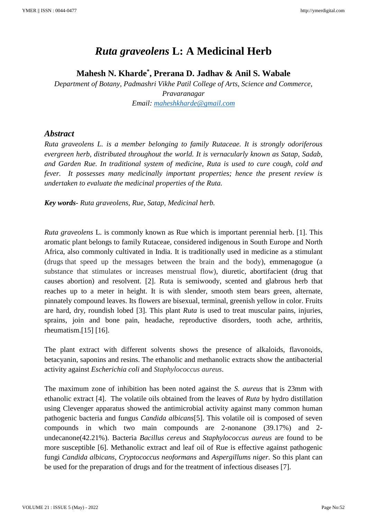## *Ruta graveolens* **L: A Medicinal Herb**

**Mahesh N. Kharde\* , Prerana D. Jadhav & Anil S. Wabale**

*Department of Botany, Padmashri Vikhe Patil College of Arts, Science and Commerce, Pravaranagar Email: [maheshkharde@gmail.com](mailto:maheshkharde@gmail.com)*

## *Abstract*

*Ruta graveolens L. is a member belonging to family Rutaceae. It is strongly odoriferous evergreen herb, distributed throughout the world. It is vernacularly known as Satap, Sadab, and Garden Rue. In traditional system of medicine, Ruta is used to cure cough, cold and fever. It possesses many medicinally important properties; hence the present review is undertaken to evaluate the medicinal properties of the Ruta.* 

*Key words- Ruta graveolens, Rue, Satap, Medicinal herb.*

*Ruta graveolens* L. is commonly known as Rue which is important perennial herb. [1]. This aromatic plant belongs to family Rutaceae, considered indigenous in South Europe and North Africa, also commonly cultivated in India. It is traditionally used in medicine as a stimulant (drugs that speed up the messages between the brain and the body), emmenagogue (a substance that stimulates or increases menstrual flow), diuretic, abortifacient (drug that causes abortion) and resolvent. [2]. Ruta is semiwoody, scented and glabrous herb that reaches up to a meter in height. It is with slender, smooth stem bears green, alternate, pinnately compound leaves. Its flowers are bisexual, terminal, greenish yellow in color. Fruits are hard, dry, roundish lobed [3]. This plant *Ruta* is used to treat muscular pains, injuries, sprains, join and bone pain, headache, reproductive disorders, tooth ache, arthritis, rheumatism.[15] [16].

The plant extract with different solvents shows the presence of alkaloids, flavonoids, betacyanin, saponins and resins. The ethanolic and methanolic extracts show the antibacterial activity against *Escherichia coli* and *Staphylococcus aureus*.

The maximum zone of inhibition has been noted against the *S*. *aureus* that is 23mm with ethanolic extract [4]. The volatile oils obtained from the leaves of *Ruta* by hydro distillation using Clevenger apparatus showed the antimicrobial activity against many common human pathogenic bacteria and fungus *Candida albicans*[5]. This volatile oil is composed of seven compounds in which two main compounds are 2-nonanone (39.17%) and 2 undecanone(42.21%). Bacteria *Bacillus cereus* and *Staphylococcus aureus* are found to be more susceptible [6]. Methanolic extract and leaf oil of Rue is effective against pathogenic fungi *Candida albicans, Cryptococcus neoformans* and *Aspergillums niger.* So this plant can be used for the preparation of drugs and for the treatment of infectious diseases [7].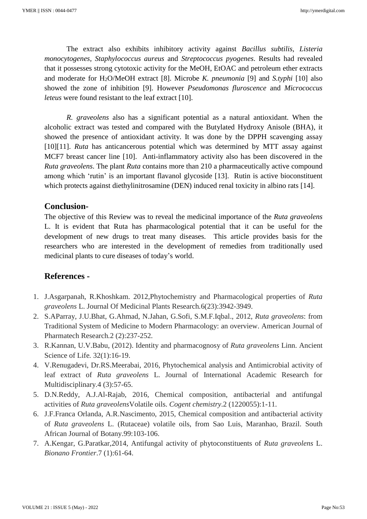The extract also exhibits inhibitory activity against *Bacillus subtilis*, *Listeria monocytogenes, Staphylococcus aureus* and *Streptococcus pyogenes*. Results had revealed that it possesses strong cytotoxic activity for the MeOH, EtOAC and petroleum ether extracts and moderate for H2O/MeOH extract [8]. Microbe *K. pneumonia* [9] and *S.typhi* [10] also showed the zone of inhibition [9]. However *Pseudomonas fluroscence* and *Micrococcus leteus* were found resistant to the leaf extract [10].

*R. graveolens* also has a significant potential as a natural antioxidant. When the alcoholic extract was tested and compared with the Butylated Hydroxy Anisole (BHA), it showed the presence of antioxidant activity. It was done by the DPPH scavenging assay [10][11]. *Ruta* has anticancerous potential which was determined by MTT assay against MCF7 breast cancer line [10]. Anti-inflammatory activity also has been discovered in the *Ruta graveolens*. The plant *Ruta* contains more than 210 a pharmaceutically active compound among which 'rutin' is an important flavanol glycoside [13]. Rutin is active bioconstituent which protects against diethylinitrosamine (DEN) induced renal toxicity in albino rats [14].

## **Conclusion-**

The objective of this Review was to reveal the medicinal importance of the *Ruta graveolens* L. It is evident that Ruta has pharmacological potential that it can be useful for the development of new drugs to treat many diseases. This article provides basis for the researchers who are interested in the development of remedies from traditionally used medicinal plants to cure diseases of today's world.

## **References -**

- 1. J.Asgarpanah, R.Khoshkam. 2012,Phytochemistry and Pharmacological properties of *Ruta graveolens* L. Journal Of Medicinal Plants Research*.*6(23):3942-3949.
- 2. S.AParray, J.U.Bhat, G.Ahmad, N.Jahan, G.Sofi, S.M.F.Iqbal., 2012, *Ruta graveolens*: from Traditional System of Medicine to Modern Pharmacology: an overview. American Journal of Pharmatech Research*.*2 (2):237-252.
- 3. R.Kannan, U.V.Babu, (2012). Identity and pharmacognosy of *Ruta graveolens* Linn. Ancient Science of Life*.* 32(1):16-19.
- 4. V.Renugadevi, Dr.RS.Meerabai, 2016, Phytochemical analysis and Antimicrobial activity of leaf extract of *Ruta graveolens* L. Journal of International Academic Research for Multidisciplinary.4 (3):57-65.
- 5. D.N.Reddy, A.J.Al-Rajab, 2016, Chemical composition, antibacterial and antifungal activities of *Ruta graveolens*Volatile oils. *Cogent chemistry*.2 (1220055):1-11.
- 6. J.F.Franca Orlanda, A.R.Nascimento, 2015, Chemical composition and antibacterial activity of *Ruta graveolens* L. (Rutaceae) volatile oils, from Sao Luis, Maranhao, Brazil. South African Journal of Botany.99:103-106.
- 7. A.Kengar, G.Paratkar,2014, Antifungal activity of phytoconstituents of *Ruta graveolens* L. *Bionano Frontier*.7 (1):61-64.